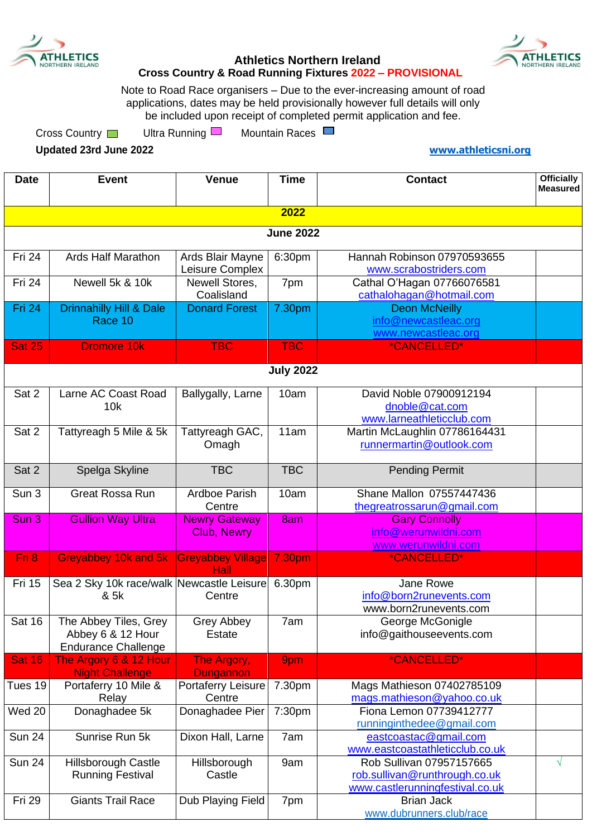



## **Athletics Northern Ireland Cross Country & Road Running Fixtures 2022 – PROVISIONAL**

Note to Road Race organisers – Due to the ever-increasing amount of road applications, dates may be held provisionally however full details will only be included upon receipt of completed permit application and fee.

Cross Country **I** Ultra Running **I** Mountain Races

**Updated 23rd June 2022 [www.athleticsni.org](http://www.athleticsni.org/)**

| <b>Date</b>      | <b>Event</b>                                                             | <b>Venue</b>                        | <b>Time</b>      | <b>Contact</b>                                                                               | <b>Officially</b><br><b>Measured</b> |  |
|------------------|--------------------------------------------------------------------------|-------------------------------------|------------------|----------------------------------------------------------------------------------------------|--------------------------------------|--|
|                  |                                                                          |                                     | 2022             |                                                                                              |                                      |  |
| <b>June 2022</b> |                                                                          |                                     |                  |                                                                                              |                                      |  |
| Fri 24           | <b>Ards Half Marathon</b>                                                |                                     | 6:30pm           | Hannah Robinson 07970593655                                                                  |                                      |  |
|                  |                                                                          | Ards Blair Mayne<br>Leisure Complex |                  | www.scrabostriders.com                                                                       |                                      |  |
| Fri 24           | Newell 5k & 10k                                                          | Newell Stores,<br>Coalisland        | 7pm              | Cathal O'Hagan 07766076581<br>cathalohagan@hotmail.com                                       |                                      |  |
| Fri 24           | <b>Drinnahilly Hill &amp; Dale</b><br>Race 10                            | <b>Donard Forest</b>                | 7.30pm           | <b>Deon McNeilly</b><br>info@newcastleac.org<br>www.newcastleac.org                          |                                      |  |
| <b>Sat 25</b>    | <b>Dromore 10k</b>                                                       | <b>TBC</b>                          | <b>TBC</b>       | *CANCELLED*                                                                                  |                                      |  |
|                  |                                                                          |                                     | <b>July 2022</b> |                                                                                              |                                      |  |
| Sat 2            | Larne AC Coast Road<br>10k                                               | Ballygally, Larne                   | 10am             | David Noble 07900912194<br>dnoble@cat.com<br>www.larneathleticclub.com                       |                                      |  |
| Sat 2            | Tattyreagh 5 Mile & 5k                                                   | Tattyreagh GAC,<br>Omagh            | 11am             | Martin McLaughlin 07786164431<br>runnermartin@outlook.com                                    |                                      |  |
| Sat 2            | Spelga Skyline                                                           | <b>TBC</b>                          | <b>TBC</b>       | <b>Pending Permit</b>                                                                        |                                      |  |
| Sun 3            | <b>Great Rossa Run</b>                                                   | Ardboe Parish<br>Centre             | 10am             | Shane Mallon 07557447436<br>thegreatrossarun@gmail.com                                       |                                      |  |
| Sun 3            | <b>Gullion Way Ultra</b>                                                 | <b>Newry Gateway</b><br>Club, Newry | 8am              | <b>Gary Connolly</b><br>info@werunwildni.com<br>www.werunwildni.com                          |                                      |  |
| Fri 8            | Greyabbey 10k and 5k                                                     | <b>Greyabbey Village</b><br>Hall    | 7.30pm           | *CANCELLED*                                                                                  |                                      |  |
| <b>Fri 15</b>    | Sea 2 Sky 10k race/walk Newcastle Leisure<br>& 5k                        | Centre                              | 6.30pm           | Jane Rowe<br>info@born2runevents.com<br>www.born2runevents.com                               |                                      |  |
| <b>Sat 16</b>    | The Abbey Tiles, Grey<br>Abbey 6 & 12 Hour<br><b>Endurance Challenge</b> | Grey Abbey<br>Estate                | 7am              | George McGonigle<br>info@gaithouseevents.com                                                 |                                      |  |
| <b>Sat 16</b>    | The Argory 6 & 12 Hour<br><b>Night Challenge</b>                         | The Argory,<br><b>Dungannon</b>     | 9pm              | *CANCELLED*                                                                                  |                                      |  |
| Tues 19          | Portaferry 10 Mile &<br>Relay                                            | Portaferry Leisure<br>Centre        | 7.30pm           | Mags Mathieson 07402785109<br>mags.mathieson@yahoo.co.uk                                     |                                      |  |
| Wed 20           | Donaghadee 5k                                                            | Donaghadee Pier                     | 7:30pm           | Fiona Lemon 07739412777<br>runninginthedee@gmail.com                                         |                                      |  |
| <b>Sun 24</b>    | Sunrise Run 5k                                                           | Dixon Hall, Larne                   | 7am              | eastcoastac@gmail.com<br>www.eastcoastathleticclub.co.uk                                     |                                      |  |
| <b>Sun 24</b>    | <b>Hillsborough Castle</b><br><b>Running Festival</b>                    | Hillsborough<br>Castle              | 9am              | Rob Sullivan 07957157665<br>rob.sullivan@runthrough.co.uk<br>www.castlerunningfestival.co.uk | $\sqrt{}$                            |  |
| Fri 29           | <b>Giants Trail Race</b>                                                 | Dub Playing Field                   | 7pm              | <b>Brian Jack</b><br>www.dubrunners.club/race                                                |                                      |  |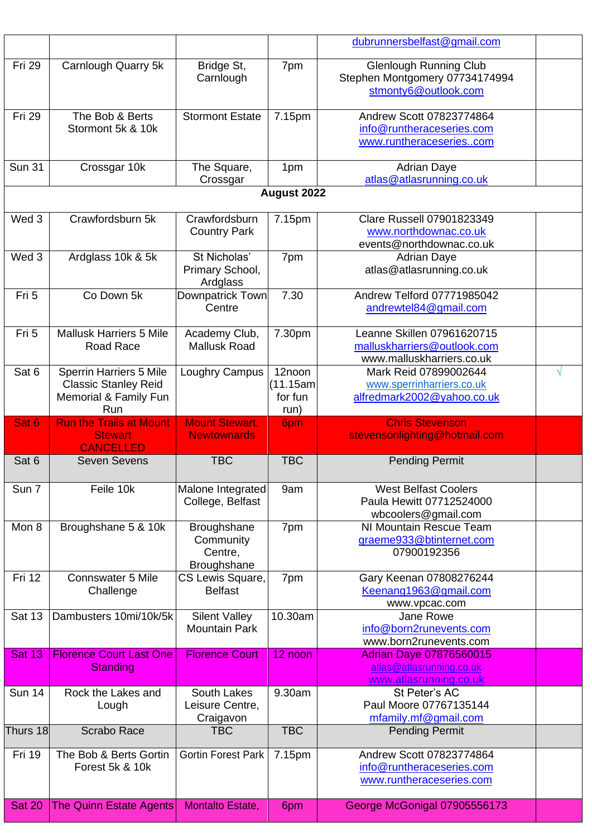|               |                                                                                               |                                                    |                                        | dubrunnersbelfast@gmail.com                                                             |   |
|---------------|-----------------------------------------------------------------------------------------------|----------------------------------------------------|----------------------------------------|-----------------------------------------------------------------------------------------|---|
| Fri 29        | Carnlough Quarry 5k                                                                           | Bridge St,<br>Carnlough                            | 7pm                                    | <b>Glenlough Running Club</b><br>Stephen Montgomery 07734174994<br>stmonty6@outlook.com |   |
| Fri 29        | The Bob & Berts<br>Stormont 5k & 10k                                                          | <b>Stormont Estate</b>                             | 7.15pm                                 | Andrew Scott 07823774864<br>info@runtheraceseries.com<br>www.runtheraceseriescom        |   |
| <b>Sun 31</b> | Crossgar 10k                                                                                  | The Square,<br>Crossgar                            | 1pm                                    | <b>Adrian Daye</b><br>atlas@atlasrunning.co.uk                                          |   |
|               |                                                                                               |                                                    | August 2022                            |                                                                                         |   |
| Wed 3         | Crawfordsburn 5k                                                                              | Crawfordsburn<br><b>Country Park</b>               | 7.15pm                                 | Clare Russell 07901823349<br>www.northdownac.co.uk<br>events@northdownac.co.uk          |   |
| Wed 3         | Ardglass 10k & 5k                                                                             | St Nicholas'<br>Primary School,<br>Ardglass        | 7pm                                    | <b>Adrian Daye</b><br>atlas@atlasrunning.co.uk                                          |   |
| Fri 5         | Co Down 5k                                                                                    | Downpatrick Town<br>Centre                         | 7.30                                   | Andrew Telford 07771985042<br>andrewtel84@gmail.com                                     |   |
| Fri 5         | <b>Mallusk Harriers 5 Mile</b><br>Road Race                                                   | Academy Club,<br><b>Mallusk Road</b>               | 7.30pm                                 | Leanne Skillen 07961620715<br>malluskharriers@outlook.com<br>www.malluskharriers.co.uk  |   |
| Sat 6         | <b>Sperrin Harriers 5 Mile</b><br><b>Classic Stanley Reid</b><br>Memorial & Family Fun<br>Run | Loughry Campus                                     | 12noon<br>(11.15am)<br>for fun<br>run) | Mark Reid 07899002644<br>www.sperrinharriers.co.uk<br>alfredmark2002@yahoo.co.uk        | V |
| Sat 6         | <b>Run the Trails at Mount</b>                                                                | <b>Mount Stewart,</b>                              | 6pm                                    | <b>Chris Stevenson</b>                                                                  |   |
|               | <b>Stewart</b>                                                                                | <b>Newtownards</b>                                 |                                        | stevensonlighting@hotmail.com                                                           |   |
| Sat 6         | <b>CANCELLED</b><br><b>Seven Sevens</b>                                                       | <b>TBC</b>                                         | <b>TBC</b>                             | <b>Pending Permit</b>                                                                   |   |
| Sun 7         | Feile 10k                                                                                     | Malone Integrated<br>College, Belfast              | 9am                                    | <b>West Belfast Coolers</b><br>Paula Hewitt 07712524000<br>wbcoolers@gmail.com          |   |
| Mon 8         | Broughshane 5 & 10k                                                                           | Broughshane<br>Community<br>Centre,<br>Broughshane | 7pm                                    | NI Mountain Rescue Team<br>graeme933@btinternet.com<br>07900192356                      |   |
| Fri 12        | <b>Connswater 5 Mile</b><br>Challenge                                                         | CS Lewis Square,<br><b>Belfast</b>                 | 7pm                                    | Gary Keenan 07808276244<br>Keenang1963@gmail.com<br>www.vpcac.com                       |   |
| <b>Sat 13</b> | Dambusters 10mi/10k/5k                                                                        | <b>Silent Valley</b><br><b>Mountain Park</b>       | 10.30am                                | Jane Rowe<br>info@born2runevents.com<br>www.born2runevents.com                          |   |
| <b>Sat 13</b> | <b>Florence Court Last One</b><br><b>Standing</b>                                             | <b>Florence Court</b>                              | 12 noon                                | <b>Adrian Daye 07876560015</b><br>atlas@atlasrunning.co.uk<br>www.atlasrunning.co.uk    |   |
| <b>Sun 14</b> | Rock the Lakes and<br>Lough                                                                   | South Lakes<br>Leisure Centre,<br>Craigavon        | 9.30am                                 | St Peter's AC<br>Paul Moore 07767135144<br>mfamily.mf@gmail.com                         |   |
| Thurs 18      | <b>Scrabo Race</b>                                                                            | <b>TBC</b>                                         | <b>TBC</b>                             | <b>Pending Permit</b>                                                                   |   |
| Fri 19        | The Bob & Berts Gortin<br>Forest 5k & 10k                                                     | Gortin Forest Park                                 | 7.15pm                                 | Andrew Scott 07823774864<br>info@runtheraceseries.com<br>www.runtheraceseries.com       |   |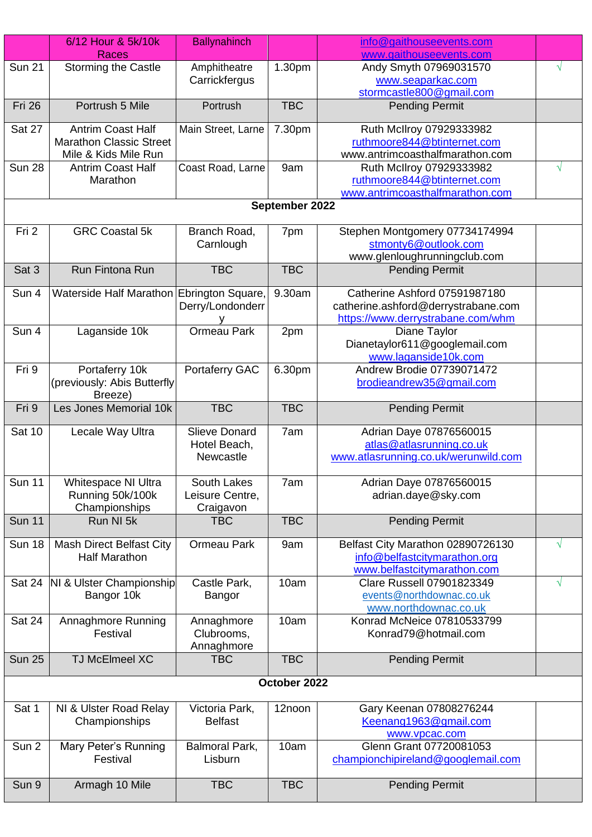|               | 6/12 Hour & 5k/10k                        | <b>Ballynahinch</b>      |                | info@gaithouseevents.com             |            |
|---------------|-------------------------------------------|--------------------------|----------------|--------------------------------------|------------|
|               | Races                                     |                          |                | www.gaithouseevents.com              |            |
| <b>Sun 21</b> | <b>Storming the Castle</b>                | Amphitheatre             | 1.30pm         | Andy Smyth 07969031570               | $\sqrt{}$  |
|               |                                           | Carrickfergus            |                | www.seaparkac.com                    |            |
|               |                                           |                          |                | stormcastle800@gmail.com             |            |
| <b>Fri 26</b> | Portrush 5 Mile                           | Portrush                 | <b>TBC</b>     | <b>Pending Permit</b>                |            |
| Sat 27        | <b>Antrim Coast Half</b>                  | Main Street, Larne       | 7.30pm         | Ruth McIlroy 07929333982             |            |
|               | <b>Marathon Classic Street</b>            |                          |                | ruthmoore844@btinternet.com          |            |
|               | Mile & Kids Mile Run                      |                          |                | www.antrimcoasthalfmarathon.com      |            |
| <b>Sun 28</b> | <b>Antrim Coast Half</b>                  | Coast Road, Larne        | 9am            | Ruth McIlroy 07929333982             | $\sqrt{}$  |
|               | Marathon                                  |                          |                | ruthmoore844@btinternet.com          |            |
|               |                                           |                          |                | www.antrimcoasthalfmarathon.com      |            |
|               |                                           |                          | September 2022 |                                      |            |
| Fri 2         | <b>GRC Coastal 5k</b>                     | Branch Road,             | 7pm            | Stephen Montgomery 07734174994       |            |
|               |                                           | Carnlough                |                | stmonty6@outlook.com                 |            |
|               |                                           |                          |                | www.glenloughrunningclub.com         |            |
| Sat 3         | Run Fintona Run                           | <b>TBC</b>               | <b>TBC</b>     | <b>Pending Permit</b>                |            |
|               |                                           |                          |                |                                      |            |
| Sun 4         | Waterside Half Marathon Ebrington Square, |                          | 9.30am         | Catherine Ashford 07591987180        |            |
|               |                                           | Derry/Londonderr         |                | catherine.ashford@derrystrabane.com  |            |
|               |                                           |                          |                | https://www.derrystrabane.com/whm    |            |
| Sun 4         | Laganside 10k                             | <b>Ormeau Park</b>       | 2pm            | Diane Taylor                         |            |
|               |                                           |                          |                | Dianetaylor611@googlemail.com        |            |
|               |                                           |                          |                | www.laganside10k.com                 |            |
| Fri 9         | Portaferry 10k                            | Portaferry GAC           | 6.30pm         | Andrew Brodie 07739071472            |            |
|               | (previously: Abis Butterfly               |                          |                | brodieandrew35@gmail.com             |            |
|               | Breeze)                                   |                          |                |                                      |            |
| Fri 9         | Les Jones Memorial 10k                    | <b>TBC</b>               | <b>TBC</b>     | <b>Pending Permit</b>                |            |
|               |                                           |                          |                |                                      |            |
| Sat 10        | Lecale Way Ultra                          | <b>Slieve Donard</b>     | 7am            | Adrian Daye 07876560015              |            |
|               |                                           | Hotel Beach,             |                | atlas@atlasrunning.co.uk             |            |
|               |                                           | Newcastle                |                | www.atlasrunning.co.uk/werunwild.com |            |
|               |                                           |                          |                |                                      |            |
| <b>Sun 11</b> | Whitespace NI Ultra                       | South Lakes              | 7am            | Adrian Daye 07876560015              |            |
|               | Running 50k/100k                          | Leisure Centre,          |                | adrian.daye@sky.com                  |            |
|               | Championships                             | Craigavon                |                |                                      |            |
| <b>Sun 11</b> | Run NI 5k                                 | <b>TBC</b>               | <b>TBC</b>     | <b>Pending Permit</b>                |            |
| <b>Sun 18</b> | <b>Mash Direct Belfast City</b>           | <b>Ormeau Park</b>       | 9am            | Belfast City Marathon 02890726130    | V          |
|               | <b>Half Marathon</b>                      |                          |                | info@belfastcitymarathon.org         |            |
|               |                                           |                          |                | www.belfastcitymarathon.com          |            |
| Sat 24        | NI & Ulster Championship                  | Castle Park,             | 10am           | Clare Russell 07901823349            | $\sqrt{ }$ |
|               | Bangor 10k                                |                          |                | events@northdownac.co.uk             |            |
|               |                                           | Bangor                   |                | www.northdownac.co.uk                |            |
| Sat 24        |                                           |                          | 10am           | Konrad McNeice 07810533799           |            |
|               | Annaghmore Running<br>Festival            | Annaghmore               |                | Konrad79@hotmail.com                 |            |
|               |                                           | Clubrooms,               |                |                                      |            |
| <b>Sun 25</b> | TJ McElmeel XC                            | Annaghmore<br><b>TBC</b> | <b>TBC</b>     |                                      |            |
|               |                                           |                          |                | <b>Pending Permit</b>                |            |
| October 2022  |                                           |                          |                |                                      |            |
|               |                                           |                          |                |                                      |            |
| Sat 1         | NI & Ulster Road Relay                    | Victoria Park,           | 12noon         | Gary Keenan 07808276244              |            |
|               | Championships                             | <b>Belfast</b>           |                | Keenang1963@gmail.com                |            |
|               |                                           |                          |                | www.vpcac.com                        |            |
| Sun 2         | Mary Peter's Running                      | <b>Balmoral Park,</b>    | 10am           | Glenn Grant 07720081053              |            |
|               | Festival                                  | Lisburn                  |                | championchipireland@googlemail.com   |            |
|               |                                           |                          |                |                                      |            |
| Sun 9         | Armagh 10 Mile                            | <b>TBC</b>               | <b>TBC</b>     | <b>Pending Permit</b>                |            |